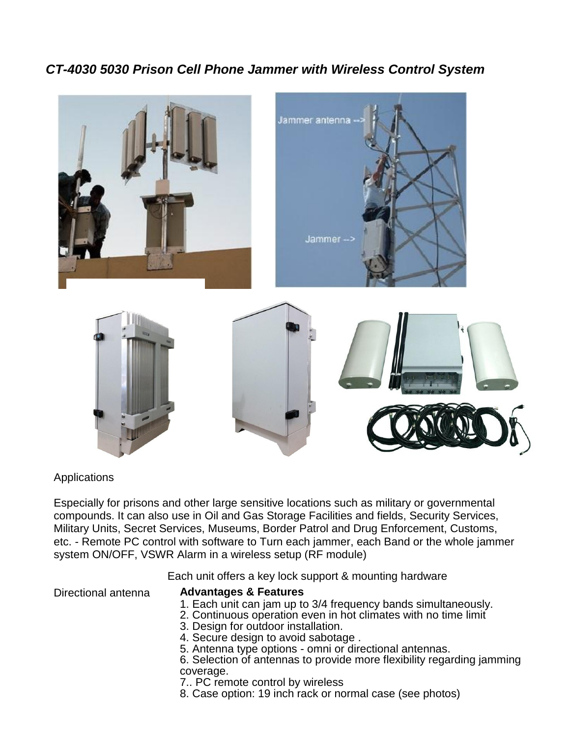# *CT-4030 5030 Prison Cell Phone Jammer with Wireless Control System*



## Applications

Especially for prisons and other large sensitive locations such as military or governmental compounds. It can also use in Oil and Gas Storage Facilities and fields, Security Services, Military Units, Secret Services, Museums, Border Patrol and Drug Enforcement, Customs, etc. - Remote PC control with software to Turn each jammer, each Band or the whole jammer system ON/OFF, VSWR Alarm in a wireless setup (RF module)

Each unit offers a key lock support & mounting hardware

Directional antenna

### **Advantages & Features**

- 1. Each unit can jam up to 3/4 frequency bands simultaneously.
- 2. Continuous operation even in hot climates with no time limit
- 3. Design for outdoor installation.
- 4. Secure design to avoid sabotage .
- 5. Antenna type options omni or directional antennas.
- 6. Selection of antennas to provide more flexibility regarding jamming coverage.
- 7.. PC remote control by wireless
- 8. Case option: 19 inch rack or normal case (see photos)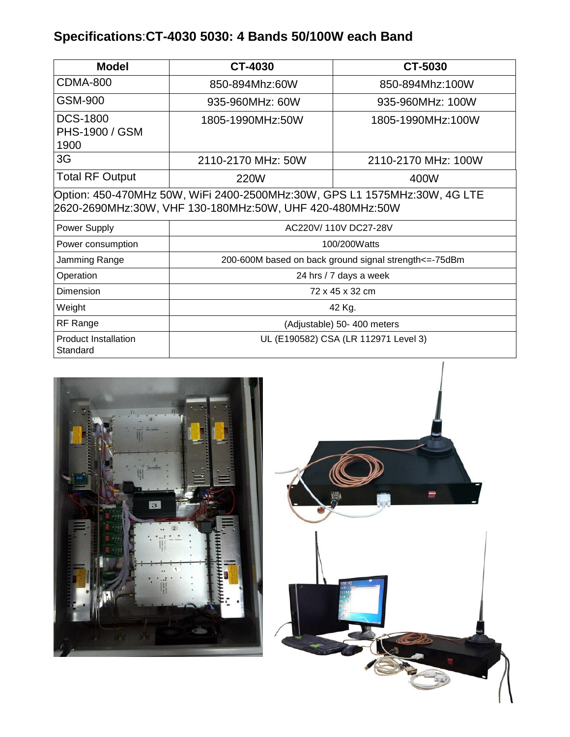# **Specifications**:**CT-4030 5030: 4 Bands 50/100W each Band**

| <b>Model</b>                                                                                                                          | CT-4030                                                  | CT-5030             |
|---------------------------------------------------------------------------------------------------------------------------------------|----------------------------------------------------------|---------------------|
| <b>CDMA-800</b>                                                                                                                       | 850-894Mhz:60W                                           | 850-894Mhz:100W     |
| GSM-900                                                                                                                               | 935-960MHz: 60W                                          | 935-960MHz: 100W    |
| <b>DCS-1800</b><br>PHS-1900 / GSM<br>1900                                                                                             | 1805-1990MHz:50W                                         | 1805-1990MHz:100W   |
| 3G                                                                                                                                    | 2110-2170 MHz: 50W                                       | 2110-2170 MHz: 100W |
| <b>Total RF Output</b>                                                                                                                | <b>220W</b>                                              | 400W                |
| Option: 450-470MHz 50W, WiFi 2400-2500MHz:30W, GPS L1 1575MHz:30W, 4G LTE<br>2620-2690MHz:30W, VHF 130-180MHz:50W, UHF 420-480MHz:50W |                                                          |                     |
| Power Supply                                                                                                                          | AC220V/110V DC27-28V                                     |                     |
| Power consumption                                                                                                                     | 100/200Watts                                             |                     |
| Jamming Range                                                                                                                         | 200-600M based on back ground signal strength <= - 75dBm |                     |
| Operation                                                                                                                             | 24 hrs / 7 days a week                                   |                     |
| Dimension                                                                                                                             | 72 x 45 x 32 cm                                          |                     |
| Weight                                                                                                                                | 42 Kg.                                                   |                     |
| RF Range                                                                                                                              | (Adjustable) 50- 400 meters                              |                     |
| <b>Product Installation</b><br>Standard                                                                                               | UL (E190582) CSA (LR 112971 Level 3)                     |                     |



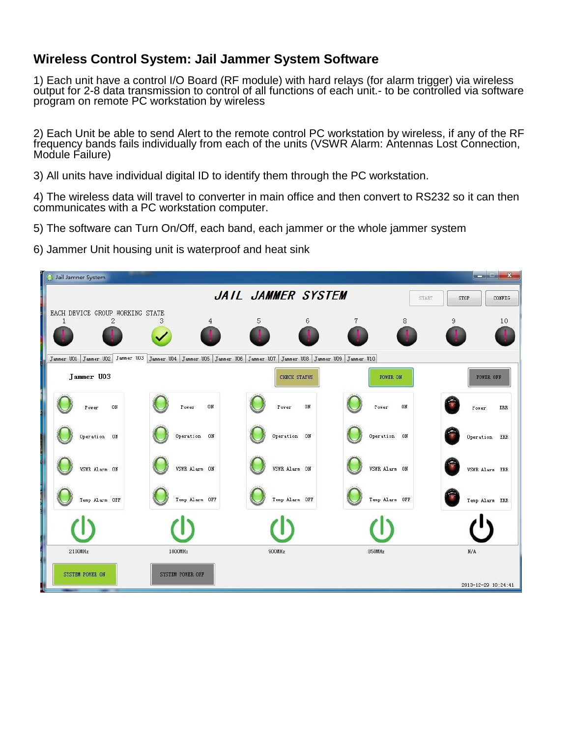## **Wireless Control System: Jail Jammer System Software**

1) Each unit have a control I/O Board (RF module) with hard relays (for alarm trigger) via wireless output for 2-8 data transmission to control of all functions of each unit.- to be controlled via software program on remote PC workstation by wireless

2) Each Unit be able to send Alert to the remote control PC workstation by wireless, if any of the RF frequency bands fails individually from each of the units (VSWR Alarm: Antennas Lost Connection, Module Failure)

3) All units have individual digital ID to identify them through the PC workstation.

4) The wireless data will travel to converter in main office and then convert to RS232 so it can then communicates with a PC workstation computer.

- 5) The software can Turn On/Off, each band, each jammer or the whole jammer system
- 6) Jammer Unit housing unit is waterproof and heat sink

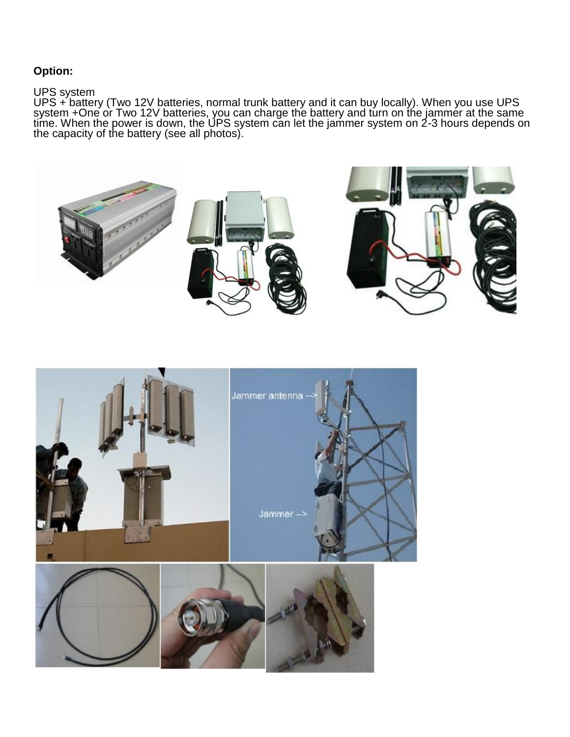## **Option:**

### UPS system

UPS + battery (Two 12V batteries, normal trunk battery and it can buy locally). When you use UPS system +One or Two 12V batteries, you can charge the battery and turn on the jammer at the same time. When the power is down, the UPS system can let the jammer system on 2-3 hours depends on the capacity of the battery (see all photos).